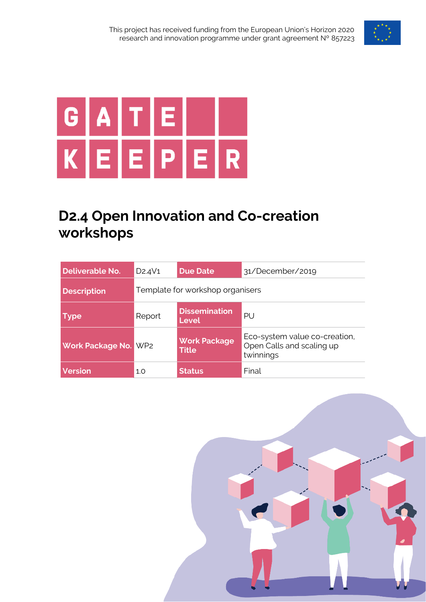



## **D2.4 Open Innovation and Co-creation workshops**

| <b>Deliverable No.</b>  | D <sub>2</sub> .4V <sub>1</sub> | <b>Due Date</b>                     | 31/December/2019                                                        |  |
|-------------------------|---------------------------------|-------------------------------------|-------------------------------------------------------------------------|--|
| <b>Description</b>      |                                 | Template for workshop organisers    |                                                                         |  |
| <b>Type</b>             | Report                          | <b>Dissemination</b><br>Level       | PU                                                                      |  |
| <b>Work Package No.</b> | WP <sub>2</sub>                 | <b>Work Package</b><br><b>Title</b> | Eco-system value co-creation,<br>Open Calls and scaling up<br>twinnings |  |
| <b>Version</b>          | 1.0                             | <b>Status</b>                       | Final                                                                   |  |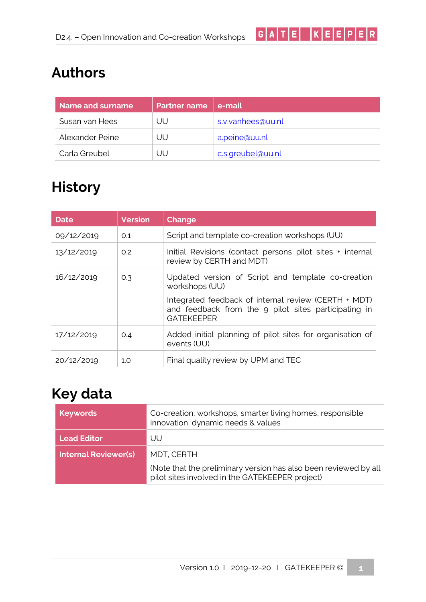# **Authors**

| Name and surname | <b>Partner name</b> | e-mail            |
|------------------|---------------------|-------------------|
| Susan van Hees   | UU                  | s.v.vanhees@uu.nl |
| Alexander Peine  | UU                  | a.peine@uu.nl     |
| Carla Greubel    | UU                  | c.s.greubel@uu.nl |

 $G[A|T|E] |K|E|E|P|E|R|$ 

## **History**

| <b>Date</b> | <b>Version</b> | Change                                                                                                                            |
|-------------|----------------|-----------------------------------------------------------------------------------------------------------------------------------|
| 09/12/2019  | O.1            | Script and template co-creation workshops (UU)                                                                                    |
| 13/12/2019  | 0.2            | Initial Revisions (contact persons pilot sites + internal<br>review by CERTH and MDT)                                             |
| 16/12/2019  | 0.3            | Updated version of Script and template co-creation<br>workshops (UU)                                                              |
|             |                | Integrated feedback of internal review (CERTH + MDT)<br>and feedback from the 9 pilot sites participating in<br><b>GATEKEEPER</b> |
| 17/12/2019  | O.4            | Added initial planning of pilot sites for organisation of<br>events (UU)                                                          |
| 20/12/2019  | 1.0            | Final quality review by UPM and TEC                                                                                               |

## **Key data**

| Keywords                    | Co-creation, workshops, smarter living homes, responsible<br>innovation, dynamic needs & values                     |
|-----------------------------|---------------------------------------------------------------------------------------------------------------------|
| <b>Lead Editor</b>          | UU                                                                                                                  |
| <b>Internal Reviewer(s)</b> | MDT, CERTH                                                                                                          |
|                             | (Note that the preliminary version has also been reviewed by all<br>pilot sites involved in the GATEKEEPER project) |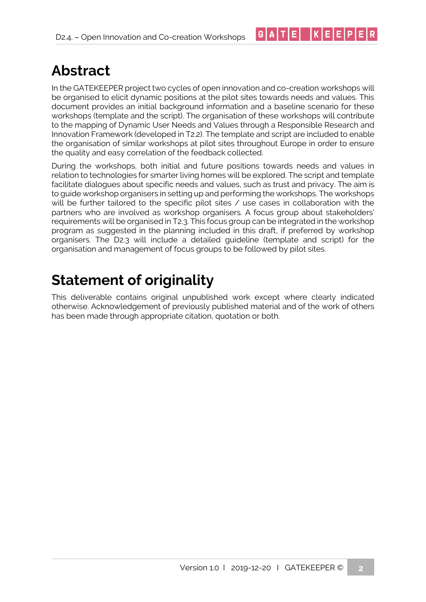## **Abstract**

In the GATEKEEPER project two cycles of open innovation and co-creation workshops will be organised to elicit dynamic positions at the pilot sites towards needs and values. This document provides an initial background information and a baseline scenario for these workshops (template and the script). The organisation of these workshops will contribute to the mapping of Dynamic User Needs and Values through a Responsible Research and Innovation Framework (developed in T2.2). The template and script are included to enable the organisation of similar workshops at pilot sites throughout Europe in order to ensure the quality and easy correlation of the feedback collected.

 $|G|A|T|E|$   $|K|E|E|P|E|R|$ 

During the workshops, both initial and future positions towards needs and values in relation to technologies for smarter living homes will be explored. The script and template facilitate dialogues about specific needs and values, such as trust and privacy. The aim is to guide workshop organisers in setting up and performing the workshops. The workshops will be further tailored to the specific pilot sites / use cases in collaboration with the partners who are involved as workshop organisers. A focus group about stakeholders' requirements will be organised in T2.3. This focus group can be integrated in the workshop program as suggested in the planning included in this draft, if preferred by workshop organisers. The D2.3 will include a detailed guideline (template and script) for the organisation and management of focus groups to be followed by pilot sites.

## **Statement of originality**

This deliverable contains original unpublished work except where clearly indicated otherwise. Acknowledgement of previously published material and of the work of others has been made through appropriate citation, quotation or both.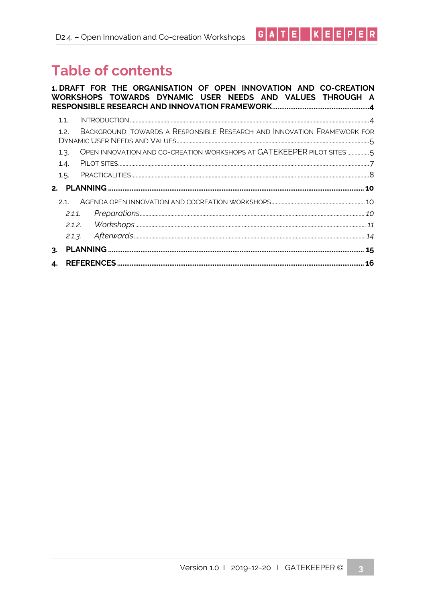# **Table of contents**

|    |                      |  |  |  |  |  | 1. DRAFT FOR THE ORGANISATION OF OPEN INNOVATION AND CO-CREATION<br>WORKSHOPS TOWARDS DYNAMIC USER NEEDS AND VALUES THROUGH A |
|----|----------------------|--|--|--|--|--|-------------------------------------------------------------------------------------------------------------------------------|
|    | 1.1.<br>1.2.         |  |  |  |  |  | BACKGROUND: TOWARDS A RESPONSIBLE RESEARCH AND INNOVATION FRAMEWORK FOR                                                       |
|    | 1.3.<br>1.4.<br>1.5. |  |  |  |  |  | OPEN INNOVATION AND CO-CREATION WORKSHOPS AT GATEKEEPER PILOT SITES                                                           |
|    | 21                   |  |  |  |  |  |                                                                                                                               |
|    | 2.1.1                |  |  |  |  |  |                                                                                                                               |
| 4. | 2.1.3.               |  |  |  |  |  |                                                                                                                               |
|    |                      |  |  |  |  |  |                                                                                                                               |

 $G[A|T|E] |K|E|E|P|E|R|$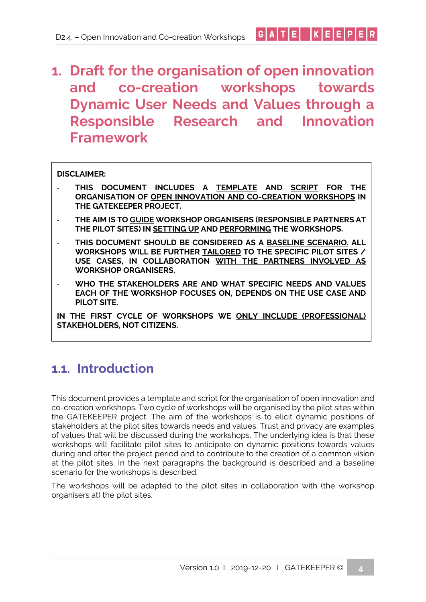#### $|G[A|T|E]$  $|K|E|E|P|E|R|$

## <span id="page-5-0"></span>**1. Draft for the organisation of open innovation and co-creation workshops towards Dynamic User Needs and Values through a Responsible Research and Innovation Framework**

#### **DISCLAIMER:**

- **THIS DOCUMENT INCLUDES A TEMPLATE AND SCRIPT FOR THE ORGANISATION OF OPEN INNOVATION AND CO-CREATION WORKSHOPS IN THE GATEKEEPER PROJECT.**
- **THE AIM IS TO GUIDE WORKSHOP ORGANISERS (RESPONSIBLE PARTNERS AT THE PILOT SITES) IN SETTING UP AND PERFORMING THE WORKSHOPS.**
- **THIS DOCUMENT SHOULD BE CONSIDERED AS A BASELINE SCENARIO. ALL WORKSHOPS WILL BE FURTHER TAILORED TO THE SPECIFIC PILOT SITES / USE CASES, IN COLLABORATION WITH THE PARTNERS INVOLVED AS WORKSHOP ORGANISERS.**
- **WHO THE STAKEHOLDERS ARE AND WHAT SPECIFIC NEEDS AND VALUES EACH OF THE WORKSHOP FOCUSES ON, DEPENDS ON THE USE CASE AND PILOT SITE.**

**IN THE FIRST CYCLE OF WORKSHOPS WE ONLY INCLUDE (PROFESSIONAL) STAKEHOLDERS, NOT CITIZENS.**

### <span id="page-5-1"></span>**1.1. Introduction**

This document provides a template and script for the organisation of open innovation and co-creation workshops. Two cycle of workshops will be organised by the pilot sites within the GATEKEEPER project. The aim of the workshops is to elicit dynamic positions of stakeholders at the pilot sites towards needs and values. Trust and privacy are examples of values that will be discussed during the workshops. The underlying idea is that these workshops will facilitate pilot sites to anticipate on dynamic positions towards values during and after the project period and to contribute to the creation of a common vision at the pilot sites. In the next paragraphs the background is described and a baseline scenario for the workshops is described.

The workshops will be adapted to the pilot sites in collaboration with (the workshop organisers at) the pilot sites.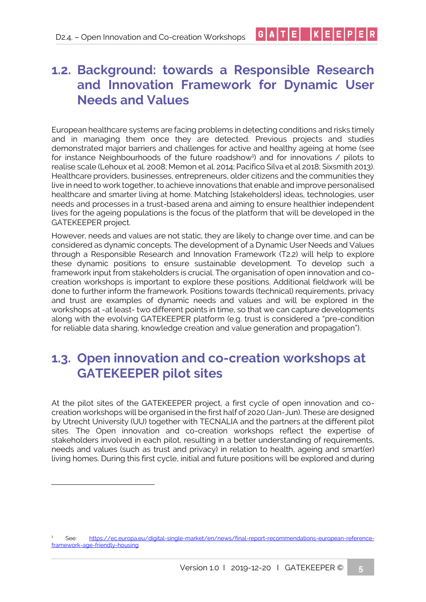## <span id="page-6-0"></span>**1.2. Background: towards a Responsible Research and Innovation Framework for Dynamic User Needs and Values**

 $|G|A|T|E|$   $|K|E|E|P|E|R|$ 

European healthcare systems are facing problems in detecting conditions and risks timely and in managing them once they are detected. Previous projects and studies demonstrated major barriers and challenges for active and healthy ageing at home (see for instance Neighbourhoods of the future roadshow<sup>1</sup>) and for innovations / pilots to realise scale (Lehoux et al. 2008; Memon et al. 2014; Pacifico Silva et al 2018; Sixsmith 2013). Healthcare providers, businesses, entrepreneurs, older citizens and the communities they live in need to work together, to achieve innovations that enable and improve personalised healthcare and smarter living at home. Matching [stakeholders] ideas, technologies, user needs and processes in a trust-based arena and aiming to ensure healthier independent lives for the ageing populations is the focus of the platform that will be developed in the GATEKEEPER project.

However, needs and values are not static, they are likely to change over time, and can be considered as dynamic concepts. The development of a Dynamic User Needs and Values through a Responsible Research and Innovation Framework (T2.2) will help to explore these dynamic positions to ensure sustainable development. To develop such a framework input from stakeholders is crucial. The organisation of open innovation and cocreation workshops is important to explore these positions. Additional fieldwork will be done to further inform the framework. Positions towards (technical) requirements, privacy and trust are examples of dynamic needs and values and will be explored in the workshops at -at least- two different points in time, so that we can capture developments along with the evolving GATEKEEPER platform (e.g. trust is considered a "pre-condition for reliable data sharing, knowledge creation and value generation and propagation").

## <span id="page-6-1"></span>**1.3. Open innovation and co-creation workshops at GATEKEEPER pilot sites**

At the pilot sites of the GATEKEEPER project, a first cycle of open innovation and cocreation workshops will be organised in the first half of 2020 (Jan-Jun). These are designed by Utrecht University (UU) together with TECNALIA and the partners at the different pilot sites. The Open innovation and co-creation workshops reflect the expertise of stakeholders involved in each pilot, resulting in a better understanding of requirements, needs and values (such as trust and privacy) in relation to health, ageing and smart(er) living homes. During this first cycle, initial and future positions will be explored and during

<sup>1</sup> See: [https://ec.europa.eu/digital-single-market/en/news/final-report-recommendations-european-reference](https://ec.europa.eu/digital-single-market/en/news/final-report-recommendations-european-reference-framework-age-friendly-housing)[framework-age-friendly-housing](https://ec.europa.eu/digital-single-market/en/news/final-report-recommendations-european-reference-framework-age-friendly-housing)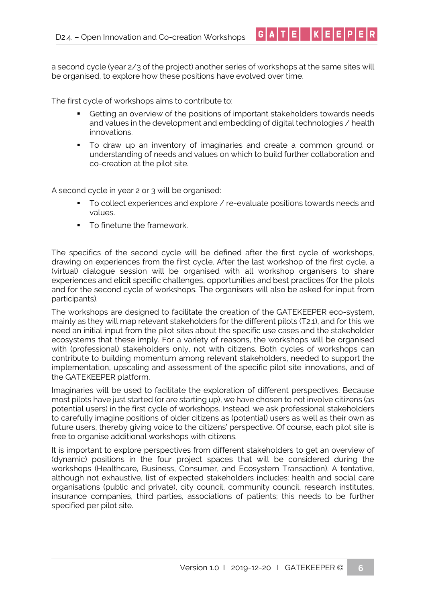a second cycle (year 2/3 of the project) another series of workshops at the same sites will be organised, to explore how these positions have evolved over time.

The first cycle of workshops aims to contribute to:

■ Getting an overview of the positions of important stakeholders towards needs and values in the development and embedding of digital technologies / health innovations.

 $G[A|T|E] |K|E|E|P|E|R$ 

▪ To draw up an inventory of imaginaries and create a common ground or understanding of needs and values on which to build further collaboration and co-creation at the pilot site.

A second cycle in year 2 or 3 will be organised:

- To collect experiences and explore / re-evaluate positions towards needs and values.
- To finetune the framework.

The specifics of the second cycle will be defined after the first cycle of workshops, drawing on experiences from the first cycle. After the last workshop of the first cycle, a (virtual) dialogue session will be organised with all workshop organisers to share experiences and elicit specific challenges, opportunities and best practices (for the pilots and for the second cycle of workshops. The organisers will also be asked for input from participants).

The workshops are designed to facilitate the creation of the GATEKEEPER eco-system, mainly as they will map relevant stakeholders for the different pilots (T2.1), and for this we need an initial input from the pilot sites about the specific use cases and the stakeholder ecosystems that these imply. For a variety of reasons, the workshops will be organised with (professional) stakeholders only, not with citizens. Both cycles of workshops can contribute to building momentum among relevant stakeholders, needed to support the implementation, upscaling and assessment of the specific pilot site innovations, and of the GATEKEEPER platform.

Imaginaries will be used to facilitate the exploration of different perspectives. Because most pilots have just started (or are starting up), we have chosen to not involve citizens (as potential users) in the first cycle of workshops. Instead, we ask professional stakeholders to carefully imagine positions of older citizens as (potential) users as well as their own as future users, thereby giving voice to the citizens' perspective. Of course, each pilot site is free to organise additional workshops with citizens.

It is important to explore perspectives from different stakeholders to get an overview of (dynamic) positions in the four project spaces that will be considered during the workshops (Healthcare, Business, Consumer, and Ecosystem Transaction). A tentative, although not exhaustive, list of expected stakeholders includes: health and social care organisations (public and private), city council, community council, research institutes, insurance companies, third parties, associations of patients; this needs to be further specified per pilot site.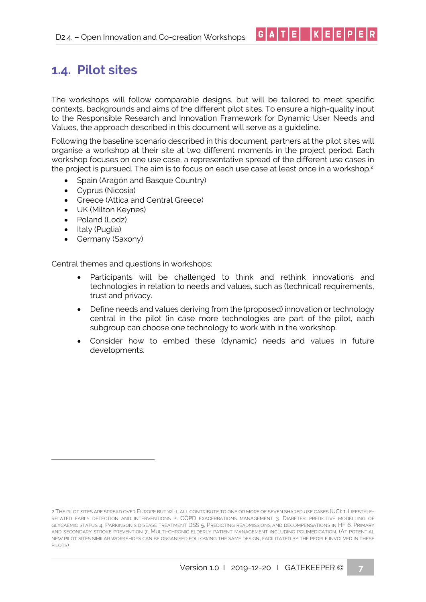## <span id="page-8-0"></span>**1.4. Pilot sites**

The workshops will follow comparable designs, but will be tailored to meet specific contexts, backgrounds and aims of the different pilot sites. To ensure a high-quality input to the Responsible Research and Innovation Framework for Dynamic User Needs and Values, the approach described in this document will serve as a guideline.

 $|G|A|T|E| |K|E|E|P|E|R|$ 

Following the baseline scenario described in this document, partners at the pilot sites will organise a workshop at their site at two different moments in the project period. Each workshop focuses on one use case, a representative spread of the different use cases in the project is pursued. The aim is to focus on each use case at least once in a workshop.<sup>2</sup>

- Spain (Aragón and Basque Country)
- Cyprus (Nicosia)
- Greece (Attica and Central Greece)
- UK (Milton Keynes)
- Poland (Lodz)
- Italy (Puglia)
- Germany (Saxony)

Central themes and questions in workshops:

- Participants will be challenged to think and rethink innovations and technologies in relation to needs and values, such as (technical) requirements, trust and privacy.
- Define needs and values deriving from the (proposed) innovation or technology central in the pilot (in case more technologies are part of the pilot, each subgroup can choose one technology to work with in the workshop.
- Consider how to embed these (dynamic) needs and values in future developments.

<sup>2</sup> THE PILOT SITES ARE SPREAD OVER EUROPE BUT WILL ALL CONTRIBUTE TO ONE OR MORE OF SEVEN SHARED USE CASES (UC): 1. LIFESTYLE-RELATED EARLY DETECTION AND INTERVENTIONS 2. COPD EXACERBATIONS MANAGEMENT 3. DIABETES: PREDICTIVE MODELLING OF GLYCAEMIC STATUS 4. PARKINSON'S DISEASE TREATMENT DSS 5. PREDICTING READMISSIONS AND DECOMPENSATIONS IN HF 6. PRIMARY AND SECONDARY STROKE PREVENTION 7. MULTI-CHRONIC ELDERLY PATIENT MANAGEMENT INCLUDING POLIMEDICATION. (AT POTENTIAL NEW PILOT SITES SIMILAR WORKSHOPS CAN BE ORGANISED FOLLOWING THE SAME DESIGN, FACILITATED BY THE PEOPLE INVOLVED IN THESE PILOTS)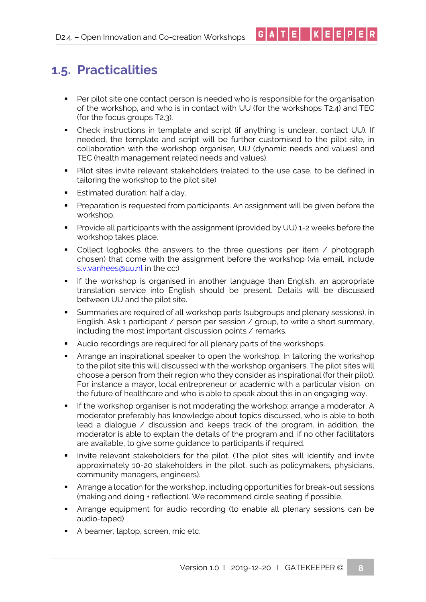<span id="page-9-0"></span>■ Per pilot site one contact person is needed who is responsible for the organisation of the workshop, and who is in contact with UU (for the workshops T2.4) and TEC (for the focus groups T2.3).

 $G[A|T|E] |K|E|E|P|E|R$ 

- Check instructions in template and script (if anything is unclear, contact UU). If needed, the template and script will be further customised to the pilot site, in collaboration with the workshop organiser, UU (dynamic needs and values) and TEC (health management related needs and values).
- Pilot sites invite relevant stakeholders (related to the use case, to be defined in tailoring the workshop to the pilot site).
- **Estimated duration: half a day.**
- **•** Preparation is requested from participants. An assignment will be given before the workshop.
- **•** Provide all participants with the assignment (provided by UU) 1-2 weeks before the workshop takes place.
- Collect logbooks (the answers to the three questions per item / photograph chosen) that come with the assignment before the workshop (via email, include [s.v.vanhees@uu.nl](mailto:s.v.vanhees@uu.nl) in the cc:)
- If the workshop is organised in another language than English, an appropriate translation service into English should be present. Details will be discussed between UU and the pilot site.
- Summaries are required of all workshop parts (subgroups and plenary sessions), in English. Ask 1 participant / person per session / group, to write a short summary, including the most important discussion points / remarks.
- Audio recordings are required for all plenary parts of the workshops.
- **EXT** Arrange an inspirational speaker to open the workshop. In tailoring the workshop to the pilot site this will discussed with the workshop organisers. The pilot sites will choose a person from their region who they consider as inspirational (for their pilot). For instance a mayor, local entrepreneur or academic with a particular vision on the future of healthcare and who is able to speak about this in an engaging way.
- **•** If the workshop organiser is not moderating the workshop: arrange a moderator. A moderator preferably has knowledge about topics discussed, who is able to both lead a dialogue / discussion and keeps track of the program. in addition, the moderator is able to explain the details of the program and, if no other facilitators are available, to give some guidance to participants if required.
- Invite relevant stakeholders for the pilot. (The pilot sites will identify and invite approximately 10-20 stakeholders in the pilot, such as policymakers, physicians, community managers, engineers).
- Arrange a location for the workshop, including opportunities for break-out sessions (making and doing + reflection). We recommend circle seating if possible.
- **EXT** Arrange equipment for audio recording (to enable all plenary sessions can be audio-taped)
- A beamer, laptop, screen, mic etc.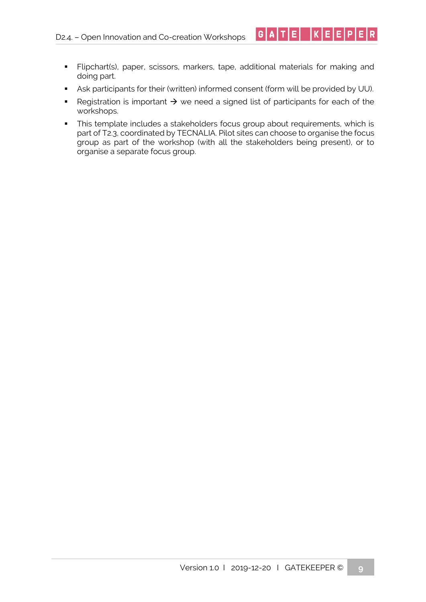▪ Flipchart(s), paper, scissors, markers, tape, additional materials for making and doing part.

 $|G|A|T|E|$   $|K|E|E|P|E|R|$ 

- Ask participants for their (written) informed consent (form will be provided by UU).
- Registration is important  $\rightarrow$  we need a signed list of participants for each of the workshops.
- **·** This template includes a stakeholders focus group about requirements, which is part of T2.3, coordinated by TECNALIA. Pilot sites can choose to organise the focus group as part of the workshop (with all the stakeholders being present), or to organise a separate focus group.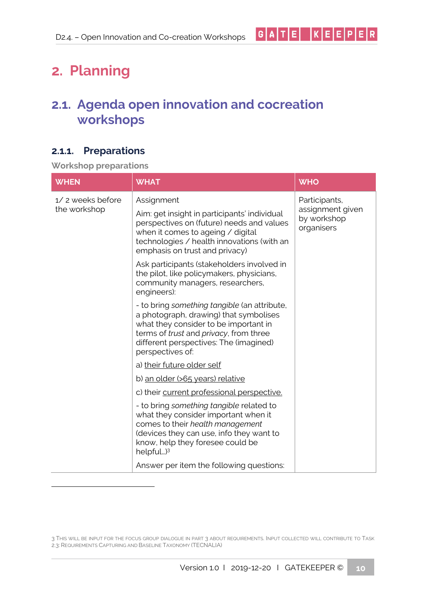# <span id="page-11-0"></span>**2. Planning**

## <span id="page-11-1"></span>**2.1. Agenda open innovation and cocreation workshops**

### <span id="page-11-2"></span>**2.1.1. Preparations**

**Workshop preparations**

| <b>WHEN</b>                      | <b>WHAT</b>                                                                                                                                                                                                                             | <b>WHO</b>                                    |
|----------------------------------|-----------------------------------------------------------------------------------------------------------------------------------------------------------------------------------------------------------------------------------------|-----------------------------------------------|
| 1/2 weeks before<br>the workshop | Assignment                                                                                                                                                                                                                              | Participants,                                 |
|                                  | Aim: get insight in participants' individual<br>perspectives on (future) needs and values<br>when it comes to ageing / digital<br>technologies / health innovations (with an<br>emphasis on trust and privacy)                          | assignment given<br>by workshop<br>organisers |
|                                  | Ask participants (stakeholders involved in<br>the pilot, like policymakers, physicians,<br>community managers, researchers,<br>engineers):                                                                                              |                                               |
|                                  | - to bring something tangible (an attribute,<br>a photograph, drawing) that symbolises<br>what they consider to be important in<br>terms of trust and privacy, from three<br>different perspectives: The (imagined)<br>perspectives of: |                                               |
|                                  | a) their future older self                                                                                                                                                                                                              |                                               |
|                                  | b) an older (>65 years) relative                                                                                                                                                                                                        |                                               |
|                                  | c) their current professional perspective.                                                                                                                                                                                              |                                               |
|                                  | - to bring something tangible related to<br>what they consider important when it<br>comes to their health management<br>(devices they can use, info they want to<br>know, help they foresee could be<br>helpful) <sup>3</sup>           |                                               |
|                                  | Answer per item the following questions:                                                                                                                                                                                                |                                               |

<sup>3</sup> THIS WILL BE INPUT FOR THE FOCUS GROUP DIALOGUE IN PART 3 ABOUT REQUIREMENTS. INPUT COLLECTED WILL CONTRIBUTE TO TASK 2.3: REQUIREMENTS CAPTURING AND BASELINE TAXONOMY (TECNALIA)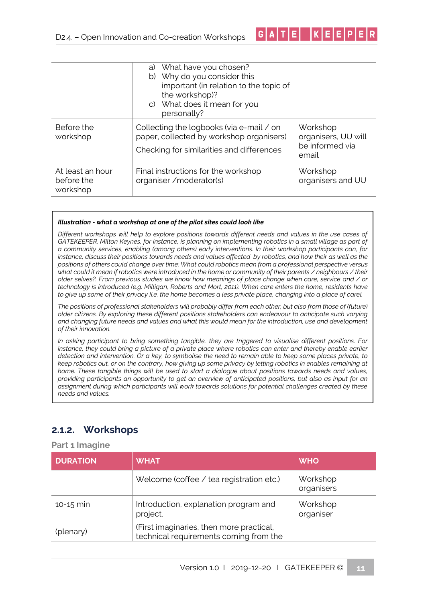|                                            | What have you chosen?<br>a)<br>b) Why do you consider this<br>important (in relation to the topic of<br>the workshop)?<br>c) What does it mean for you<br>personally? |                                                             |
|--------------------------------------------|-----------------------------------------------------------------------------------------------------------------------------------------------------------------------|-------------------------------------------------------------|
| Before the<br>workshop                     | Collecting the logbooks (via e-mail / on<br>paper, collected by workshop organisers)<br>Checking for similarities and differences                                     | Workshop<br>organisers, UU will<br>be informed via<br>email |
| At least an hour<br>before the<br>workshop | Final instructions for the workshop<br>organiser / moderator(s)                                                                                                       | Workshop<br>organisers and UU                               |

|G|A|T|E| |K|E|E|P|E|R

#### *Illustration - what a workshop at one of the pilot sites could look like*

*Different workshops will help to explore positions towards different needs and values in the use cases of GATEKEEPER. Milton Keynes, for instance, is planning on implementing robotics in a small village as part of a community services, enabling (among others) early interventions. In their workshop participants can, for instance, discuss their positions towards needs and values affected by robotics, and how their as well as the positions of others could change over time: What could robotics mean from a professional perspective versus what could it mean if robotics were introduced in the home or community of their parents / neighbours / their older selves?. From previous studies we know how meanings of place change when care, service and / or technology is introduced (e.g. Milligan, Roberts and Mort, 2011). When care enters the home, residents have to give up some of their privacy [i.e. the home becomes a less private place, changing into a p[ace of care].* 

*The positions of professional stakeholders will probably differ from each other, but also from those of (future) older citizens. By exploring these different positions stakeholders can endeavour to anticipate such varying and changing future needs and values and what this would mean for the introduction, use and development of their innovation.* 

*In asking participant to bring something tangible, they are triggered to visualise different positions. For instance, they could bring a picture of a private place where robotics can enter and thereby enable earlier detection and intervention. Or a key, to symbolise the need to remain able to keep some places private, to keep robotics out, or on the contrary, how giving up some privacy by letting robotics in enables remaining at home. These tangible things will be used to start a dialogue about positions towards needs and values, providing participants an opportunity to get an overview of anticipated positions, but also as input for an assignment during which participants will work towards solutions for potential challenges created by these needs and values.*

### <span id="page-12-0"></span>**2.1.2. Workshops**

**Part 1 Imagine**

| <b>DURATION</b> | <b>WHAT</b>                                                                        | <b>WHO</b>             |
|-----------------|------------------------------------------------------------------------------------|------------------------|
|                 | Welcome (coffee / tea registration etc.)                                           | Workshop<br>organisers |
| $10 - 15$ min   | Introduction, explanation program and<br>project.                                  | Workshop<br>organiser  |
| (plenary)       | (First imaginaries, then more practical,<br>technical requirements coming from the |                        |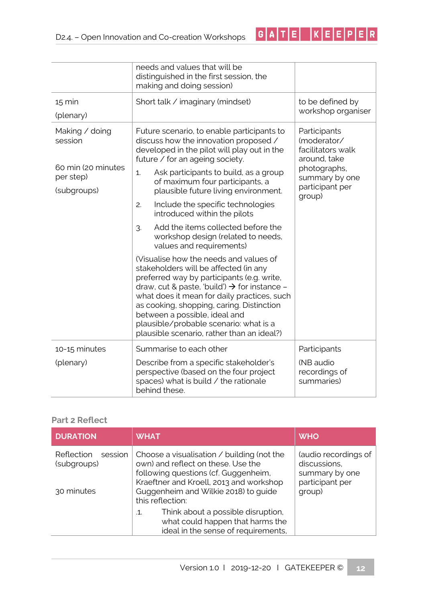|                                                                             | needs and values that will be<br>distinguished in the first session, the<br>making and doing session)                                                                                                                                                                                                                                                                                                                                                                            |                                                                                                                                 |
|-----------------------------------------------------------------------------|----------------------------------------------------------------------------------------------------------------------------------------------------------------------------------------------------------------------------------------------------------------------------------------------------------------------------------------------------------------------------------------------------------------------------------------------------------------------------------|---------------------------------------------------------------------------------------------------------------------------------|
| $15 \text{ min}$<br>(plenary)                                               | Short talk / imaginary (mindset)                                                                                                                                                                                                                                                                                                                                                                                                                                                 | to be defined by<br>workshop organiser                                                                                          |
| Making / doing<br>session<br>60 min (20 minutes<br>per step)<br>(subgroups) | Future scenario, to enable participants to<br>discuss how the innovation proposed /<br>developed in the pilot will play out in the<br>future / for an ageing society.<br>Ask participants to build, as a group<br>1.<br>of maximum four participants, a<br>plausible future living environment.<br>Include the specific technologies<br>2.<br>introduced within the pilots<br>Add the items collected before the<br>3.                                                           | Participants<br>(moderator/<br>facilitators walk<br>around, take<br>photographs,<br>summary by one<br>participant per<br>group) |
|                                                                             | workshop design (related to needs,<br>values and requirements)<br>(Visualise how the needs and values of<br>stakeholders will be affected (in any<br>preferred way by participants (e.g. write,<br>draw, cut & paste, 'build') $\rightarrow$ for instance -<br>what does it mean for daily practices, such<br>as cooking, shopping, caring. Distinction<br>between a possible, ideal and<br>plausible/probable scenario: what is a<br>plausible scenario, rather than an ideal?) |                                                                                                                                 |
| 10-15 minutes<br>(plenary)                                                  | Summarise to each other<br>Describe from a specific stakeholder's<br>perspective (based on the four project<br>spaces) what is build / the rationale<br>behind these.                                                                                                                                                                                                                                                                                                            | Participants<br>(NB audio<br>recordings of<br>summaries)                                                                        |

 $G[A|T|E] |K|E|E|P|E|R|$ 

#### **Part 2 Reflect**

| <b>DURATION</b>                                    | <b>WHAT</b>                                                                                                                                                                                                                     | <b>WHO</b>                                                                          |
|----------------------------------------------------|---------------------------------------------------------------------------------------------------------------------------------------------------------------------------------------------------------------------------------|-------------------------------------------------------------------------------------|
| Reflection<br>session<br>(subgroups)<br>30 minutes | Choose a visualisation / building (not the<br>own) and reflect on these. Use the<br>following questions (cf. Guggenheim,<br>Kraeftner and Kroell, 2013 and workshop<br>Guggenheim and Wilkie 2018) to guide<br>this reflection: | (audio recordings of<br>discussions,<br>summary by one<br>participant per<br>group) |
|                                                    | Think about a possible disruption,<br>$\mathbf{1}$<br>what could happen that harms the<br>ideal in the sense of requirements,                                                                                                   |                                                                                     |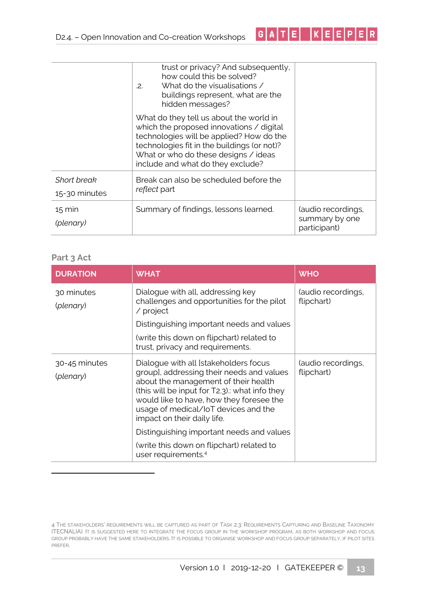|                                     | trust or privacy? And subsequently,<br>how could this be solved?<br>What do the visualisations /<br>.2.<br>buildings represent, what are the<br>hidden messages?                                                                                            |                                                      |
|-------------------------------------|-------------------------------------------------------------------------------------------------------------------------------------------------------------------------------------------------------------------------------------------------------------|------------------------------------------------------|
|                                     | What do they tell us about the world in<br>which the proposed innovations / digital<br>technologies will be applied? How do the<br>technologies fit in the buildings (or not)?<br>What or who do these designs / ideas<br>include and what do they exclude? |                                                      |
| <b>Short break</b><br>15-30 minutes | Break can also be scheduled before the<br><i>reflect</i> part                                                                                                                                                                                               |                                                      |
| $15 \text{ min}$<br>(plenary)       | Summary of findings, lessons learned.                                                                                                                                                                                                                       | (audio recordings,<br>summary by one<br>participant) |

 $G[A|T|E] |K|E|E|P|E|R$ 

#### **Part 3 Act**

| <b>DURATION</b>            | <b>WHAT</b>                                                                                                                                                                                                                                                                                    | <b>WHO</b>                       |
|----------------------------|------------------------------------------------------------------------------------------------------------------------------------------------------------------------------------------------------------------------------------------------------------------------------------------------|----------------------------------|
| 30 minutes<br>(plenary)    | Dialogue with all, addressing key<br>challenges and opportunities for the pilot<br>$\prime$ project                                                                                                                                                                                            | (audio recordings,<br>flipchart) |
|                            | Distinguishing important needs and values                                                                                                                                                                                                                                                      |                                  |
|                            | (write this down on flipchart) related to<br>trust, privacy and requirements.                                                                                                                                                                                                                  |                                  |
| 30-45 minutes<br>(plenary) | Dialogue with all [stakeholders focus<br>groupl, addressing their needs and values<br>about the management of their health<br>(this will be input for T2.3). what info they<br>would like to have, how they foresee the<br>usage of medical/IoT devices and the<br>impact on their daily life. | (audio recordings,<br>flipchart) |
|                            | Distinguishing important needs and values                                                                                                                                                                                                                                                      |                                  |
|                            | (write this down on flipchart) related to<br>user requirements. <sup>4</sup>                                                                                                                                                                                                                   |                                  |

<sup>4</sup> THE STAKEHOLDERS' REQUIREMENTS WILL BE CAPTURED AS PART OF TASK 2.3: REQUIREMENTS CAPTURING AND BASELINE TAXONOMY (TECNALIA). IT IS SUGGESTED HERE TO INTEGRATE THE FOCUS GROUP IN THE WORKSHOP PROGRAM, AS BOTH WORKSHOP AND FOCUS GROUP PROBABLY HAVE THE SAME STAKEHOLDERS. IT IS POSSIBLE TO ORGANISE WORKSHOP AND FOCUS GROUP SEPARATELY, IF PILOT SITES PREFER.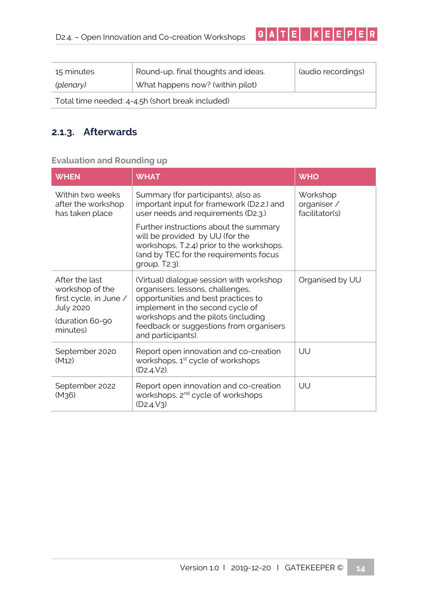| 15 minutes                                       | Round-up, final thoughts and ideas. | (audio recordings) |  |
|--------------------------------------------------|-------------------------------------|--------------------|--|
| (plenary)                                        | What happens now? (within pilot)    |                    |  |
| Total time needed: 4-4.5h (short break included) |                                     |                    |  |

 $G | A | T | E | | K | E | E | P | E | R$ 

### <span id="page-15-0"></span>**2.1.3. Afterwards**

### **Evaluation and Rounding up**

| <b>WHEN</b>                                                                     | <b>WHAT</b>                                                                                                                                                                                                                                                     | <b>WHO</b>                                |
|---------------------------------------------------------------------------------|-----------------------------------------------------------------------------------------------------------------------------------------------------------------------------------------------------------------------------------------------------------------|-------------------------------------------|
| Within two weeks<br>after the workshop<br>has taken place                       | Summary (for participants), also as<br>important input for framework (D2.2.) and<br>user needs and requirements (D2.3.)                                                                                                                                         | Workshop<br>organiser /<br>facilitator(s) |
|                                                                                 | Further instructions about the summary<br>will be provided by UU (for the<br>workshops, T.2.4) prior to the workshops.<br>(and by TEC for the requirements focus<br>group, T2.3).                                                                               |                                           |
| After the last<br>workshop of the<br>first cycle, in June /<br><b>July 2020</b> | (Virtual) dialogue session with workshop<br>organisers: lessons, challenges,<br>opportunities and best practices to<br>implement in the second cycle of<br>workshops and the pilots (including<br>feedback or suggestions from organisers<br>and participants). | Organised by UU                           |
| (duration 60-90<br>minutes)                                                     |                                                                                                                                                                                                                                                                 |                                           |
| September 2020<br>(M12)                                                         | Report open innovation and co-creation<br>workshops, 1 <sup>st</sup> cycle of workshops<br>$(D2.4.V2)$ .                                                                                                                                                        | UU                                        |
| September 2022<br>(M <sub>36</sub> )                                            | Report open innovation and co-creation<br>workshops, 2 <sup>nd</sup> cycle of workshops<br>(D2.4.V3)                                                                                                                                                            | UU                                        |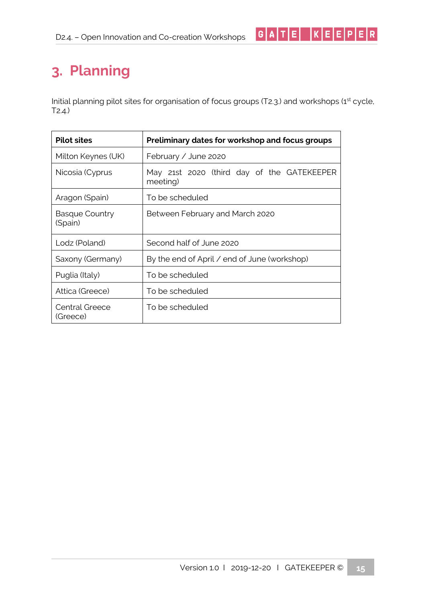# <span id="page-16-0"></span>**3. Planning**

Initial planning pilot sites for organisation of focus groups (T2.3.) and workshops (1<sup>st</sup> cycle, T2.4.)

 $G[A|T|E] |K|E|E|P|E|R|$ 

| <b>Pilot sites</b>               | Preliminary dates for workshop and focus groups        |  |
|----------------------------------|--------------------------------------------------------|--|
| Milton Keynes (UK)               | February / June 2020                                   |  |
| Nicosia (Cyprus                  | May 21st 2020 (third day of the GATEKEEPER<br>meeting) |  |
| Aragon (Spain)                   | To be scheduled                                        |  |
| <b>Basque Country</b><br>(Spain) | Between February and March 2020                        |  |
| Lodz (Poland)                    | Second half of June 2020                               |  |
| Saxony (Germany)                 | By the end of April / end of June (workshop)           |  |
| Puglia (Italy)                   | To be scheduled                                        |  |
| Attica (Greece)                  | To be scheduled                                        |  |
| Central Greece<br>(Greece)       | To be scheduled                                        |  |